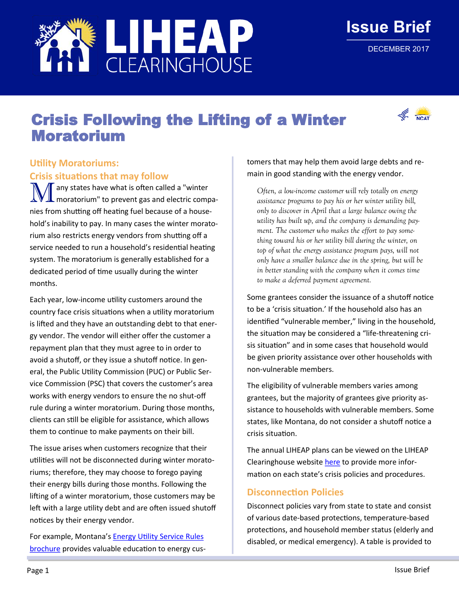

# Crisis Following the Lifting of a Winter Moratorium

# **Utility Moratoriums:**

**Crisis situations that may follow**

 $\sqrt{ }$  any states have what is often called a "winter moratorium" to prevent gas and electric companies from shutting off heating fuel because of a household's inability to pay. In many cases the winter moratorium also restricts energy vendors from shutting off a service needed to run a household's residential heating system. The moratorium is generally established for a dedicated period of time usually during the winter months.

Each year, low-income utility customers around the country face crisis situations when a utility moratorium is lifted and they have an outstanding debt to that energy vendor. The vendor will either offer the customer a repayment plan that they must agree to in order to avoid a shutoff, or they issue a shutoff notice. In general, the Public Utility Commission (PUC) or Public Service Commission (PSC) that covers the customer's area works with energy vendors to ensure the no shut-off rule during a winter moratorium. During those months, clients can still be eligible for assistance, which allows them to continue to make payments on their bill.

The issue arises when customers recognize that their utilities will not be disconnected during winter moratoriums; therefore, they may choose to forego paying their energy bills during those months. Following the lifting of a winter moratorium, those customers may be left with a large utility debt and are often issued shutoff notices by their energy vendor.

For example, Montana's [Energy Utility Service Rules](http://psc.mt.gov/consumers/energy/pdf/UtilityRules03012001.pdf)  [brochure](http://psc.mt.gov/consumers/energy/pdf/UtilityRules03012001.pdf) provides valuable education to energy customers that may help them avoid large debts and remain in good standing with the energy vendor.

*Often, a low-income customer will rely totally on energy assistance programs to pay his or her winter utility bill, only to discover in April that a large balance owing the utility has built up, and the company is demanding payment. The customer who makes the effort to pay something toward his or her utility bill during the winter, on top of what the energy assistance program pays, will not only have a smaller balance due in the spring, but will be in better standing with the company when it comes time to make a deferred payment agreement.* 

Some grantees consider the issuance of a shutoff notice to be a 'crisis situation.' If the household also has an identified "vulnerable member," living in the household, the situation may be considered a "life-threatening crisis situation" and in some cases that household would be given priority assistance over other households with non-vulnerable members.

The eligibility of vulnerable members varies among grantees, but the majority of grantees give priority assistance to households with vulnerable members. Some states, like Montana, do not consider a shutoff notice a crisis situation.

The annual LIHEAP plans can be viewed on the LIHEAP Clearinghouse website [here](https://liheapch.acf.hhs.gov/stateplans.htm) to provide more information on each state's crisis policies and procedures.

### **Disconnection Policies**

Disconnect policies vary from state to state and consist of various date-based protections, temperature-based protections, and household member status (elderly and disabled, or medical emergency). A table is provided to



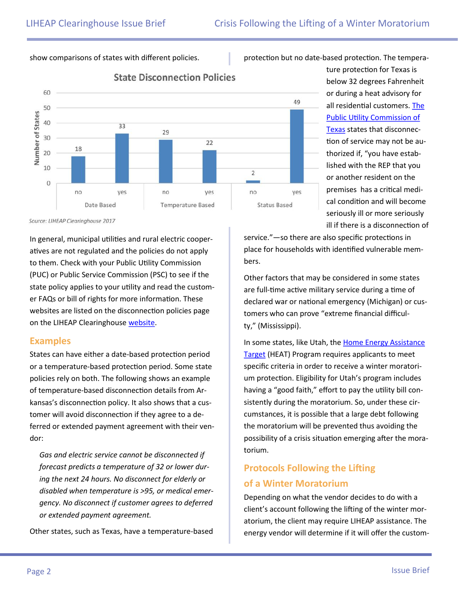#### show comparisons of states with different policies.

protection but no date-based protection. The tempera-



## **State Disconnection Policies**

Source: LIHEAP Clearinghouse 2017

In general, municipal utilities and rural electric cooperatives are not regulated and the policies do not apply to them. Check with your Public Utility Commission (PUC) or Public Service Commission (PSC) to see if the state policy applies to your utility and read the customer FAQs or bill of rights for more information. These websites are listed on the disconnection policies page on the LIHEAP Clearinghouse [website.](https://liheapch.acf.hhs.gov/disconnect)

#### **Examples**

States can have either a date-based protection period or a temperature-based protection period. Some state policies rely on both. The following shows an example of temperature-based disconnection details from Arkansas's disconnection policy. It also shows that a customer will avoid disconnection if they agree to a deferred or extended payment agreement with their vendor:

*Gas and electric service cannot be disconnected if forecast predicts a temperature of 32 or lower during the next 24 hours. No disconnect for elderly or disabled when temperature is >95, or medical emergency. No disconnect if customer agrees to deferred or extended payment agreement.*

Other states, such as Texas, have a temperature-based

ture protection for Texas is below 32 degrees Fahrenheit or during a heat advisory for all residential customers. [The](https://www.puc.texas.gov/consumer/complaint/Rights.aspx)  [Public Utility Commission of](https://www.puc.texas.gov/consumer/complaint/Rights.aspx)  [Texas](https://www.puc.texas.gov/consumer/complaint/Rights.aspx) states that disconnection of service may not be authorized if, "you have established with the REP that you or another resident on the premises has a critical medical condition and will become seriously ill or more seriously ill if there is a disconnection of

service."—so there are also specific protections in place for households with identified vulnerable members.

Other factors that may be considered in some states are full-time active military service during a time of declared war or national emergency (Michigan) or customers who can prove "extreme financial difficulty," (Mississippi).

In some states, like Utah, the Home Energy Assistance [Target](https://jobs.utah.gov/housing/seal/heat.html) (HEAT) Program requires applicants to meet specific criteria in order to receive a winter moratorium protection. Eligibility for Utah's program includes having a "good faith," effort to pay the utility bill consistently during the moratorium. So, under these circumstances, it is possible that a large debt following the moratorium will be prevented thus avoiding the possibility of a crisis situation emerging after the moratorium.

# **Protocols Following the Lifting of a Winter Moratorium**

Depending on what the vendor decides to do with a client's account following the lifting of the winter moratorium, the client may require LIHEAP assistance. The energy vendor will determine if it will offer the custom